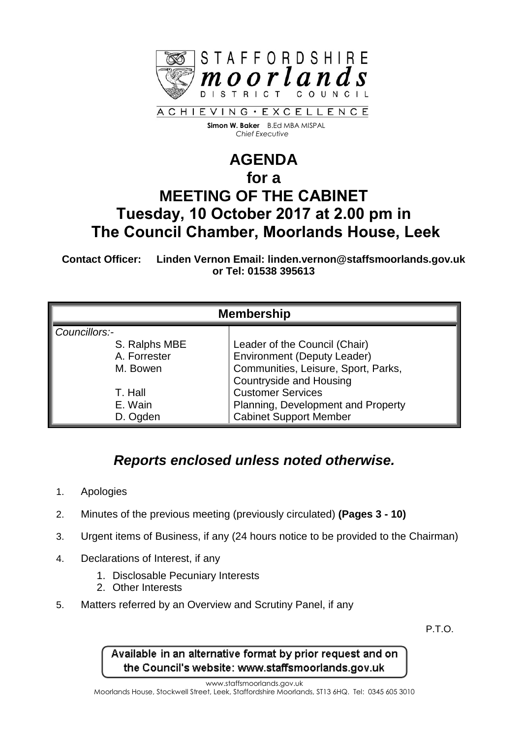

 **Simon W. Baker** B.Ed MBA MISPAL  *Chief Executive*

## **AGENDA for a MEETING OF THE CABINET Tuesday, 10 October 2017 at 2.00 pm in The Council Chamber, Moorlands House, Leek**

**Contact Officer: Linden Vernon Email: linden.vernon@staffsmoorlands.gov.uk or Tel: 01538 395613**

| <b>Membership</b> |                                     |
|-------------------|-------------------------------------|
| Councillors:-     |                                     |
| S. Ralphs MBE     | Leader of the Council (Chair)       |
| A. Forrester      | <b>Environment (Deputy Leader)</b>  |
| M. Bowen          | Communities, Leisure, Sport, Parks, |
|                   | <b>Countryside and Housing</b>      |
| T. Hall           | <b>Customer Services</b>            |
| E. Wain           | Planning, Development and Property  |
| D. Ogden          | <b>Cabinet Support Member</b>       |

## *Reports enclosed unless noted otherwise.*

- 1. Apologies
- 2. Minutes of the previous meeting (previously circulated) **(Pages 3 - 10)**
- 3. Urgent items of Business, if any (24 hours notice to be provided to the Chairman)
- 4. Declarations of Interest, if any
	- 1. Disclosable Pecuniary Interests
	- 2. Other Interests
- 5. Matters referred by an Overview and Scrutiny Panel, if any

P.T.O.

Available in an alternative format by prior request and on the Council's website: www.staffsmoorlands.gov.uk

www.staffsmoorlands.gov.uk

Moorlands House, Stockwell Street, Leek, Staffordshire Moorlands, ST13 6HQ. Tel: 0345 605 3010